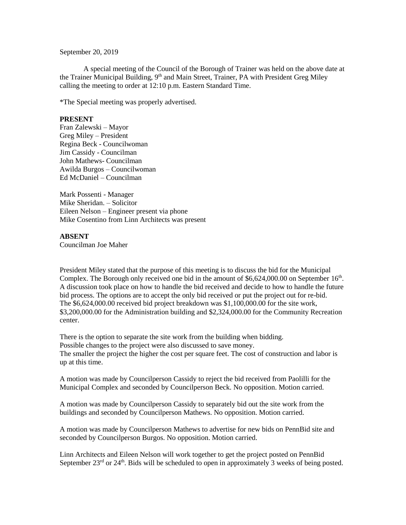September 20, 2019

A special meeting of the Council of the Borough of Trainer was held on the above date at the Trainer Municipal Building, 9<sup>th</sup> and Main Street, Trainer, PA with President Greg Miley calling the meeting to order at 12:10 p.m. Eastern Standard Time.

\*The Special meeting was properly advertised.

## **PRESENT**

Fran Zalewski – Mayor Greg Miley – President Regina Beck - Councilwoman Jim Cassidy - Councilman John Mathews- Councilman Awilda Burgos – Councilwoman Ed McDaniel – Councilman

Mark Possenti - Manager Mike Sheridan. – Solicitor Eileen Nelson – Engineer present via phone Mike Cosentino from Linn Architects was present

## **ABSENT**

Councilman Joe Maher

President Miley stated that the purpose of this meeting is to discuss the bid for the Municipal Complex. The Borough only received one bid in the amount of  $$6,624,000.00$  on September  $16<sup>th</sup>$ . A discussion took place on how to handle the bid received and decide to how to handle the future bid process. The options are to accept the only bid received or put the project out for re-bid. The \$6,624,000.00 received bid project breakdown was \$1,100,000.00 for the site work, \$3,200,000.00 for the Administration building and \$2,324,000.00 for the Community Recreation center.

There is the option to separate the site work from the building when bidding. Possible changes to the project were also discussed to save money. The smaller the project the higher the cost per square feet. The cost of construction and labor is up at this time.

A motion was made by Councilperson Cassidy to reject the bid received from Paolilli for the Municipal Complex and seconded by Councilperson Beck. No opposition. Motion carried.

A motion was made by Councilperson Cassidy to separately bid out the site work from the buildings and seconded by Councilperson Mathews. No opposition. Motion carried.

A motion was made by Councilperson Mathews to advertise for new bids on PennBid site and seconded by Councilperson Burgos. No opposition. Motion carried.

Linn Architects and Eileen Nelson will work together to get the project posted on PennBid September  $23<sup>rd</sup>$  or  $24<sup>th</sup>$ . Bids will be scheduled to open in approximately 3 weeks of being posted.